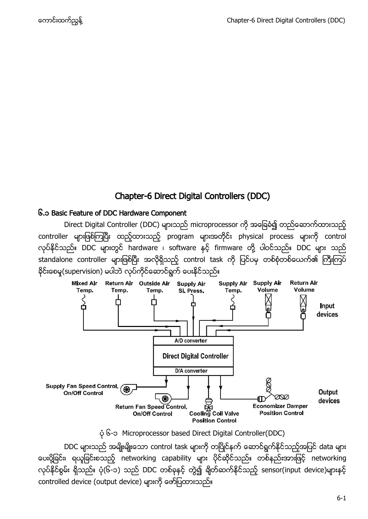# Chapter-6 Direct Digital Controllers (DDC)

#### <span id="page-0-0"></span>၆.၁ Basic Feature of DDC Hardware Component

Direct Digital Controller (DDC) များသည် microprocessor ကို အခြေခံ၍ တည်ဆောက်ထားသည့် controller များဖြစ်ကြပြီး ထည့်ထားသည့် program များအတိုင်း physical process များကို control လုပ်နိုင်သည်။ DDC များတွင် hardware ၊ software နှင့် firmware တို့ ပါဝင်သည်။ DDC များ သည် standalone controller များဖြစ်ပြီး အလိုရှိသည့် control task ကို ပြင်ပမှ တစ်စုံတစ်ယေက်၏ ကြီးကြပ် နိုင်းစေမူ(supervision) မပါဘဲ လုပ်ကိုင်ဆောင်ရွက် ပေးနိုင်သည်။



၆-၁ Microprocessor based Direct Digital Controller(DDC)

DDC များသည် အမျိုးမျိုးသော control task များကို တပြိုင်နက် ဆောင်ရွက်နိုင်သည့်အပြင် data များ ပေးပို့ခြင်း၊ ရယူခြင်းစသည့် networking capability များ ပိုင်ဆိုင်သည်။ တစ်နည်းအားဖြင့် networking လုပ်နိုင်စွမ်း ရှိသည်။ ပုံ(၆-၁) သည် DDC တစ်ခုနှင့် တွဲ၍ ချိတ်ဆက်နိုင်သည့် sensor(input device)များနှင့် controlled device (output device)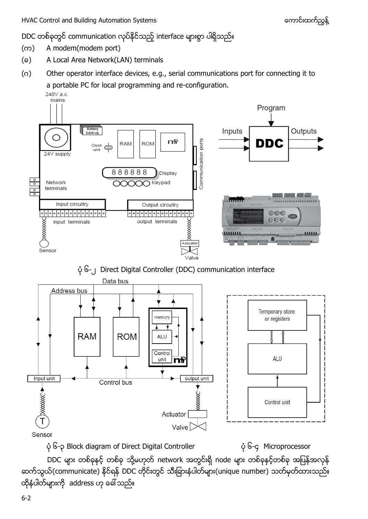DDC တစ်ခုတွင် communication လုပ်နိုင်သည့် interface များစွာ ပါရှိသည်။

- (ෆ) A modem(modem port)
- (a) A Local Area Network(LAN) terminals
- (ဂ) Other operator interface devices, e.g., serial communications port for connecting it to a portable PC for local programming and re-configuration.  $240V$  a c



 $\phi$  ၆-γ Block diagram of Direct Digital Controller  $\phi$  ၆-γ Microprocessor

DDC များ တစ်ခုနှင့် တစ်ခု သို့မဟုတ် network အတွင်းရှိ node များ တစ်ခုနှင့်တစ်ခု အပြန်အလှန် ဆက်သွယ်(communicate) နိုင်ရန် DDC တိုင်းတွင် သီးခြားနံပါတ်များ(unique number) သတ်မှတ်ထားသည်။ ထိုနံပါတ်များကို address ဟု ခေါ် သည်။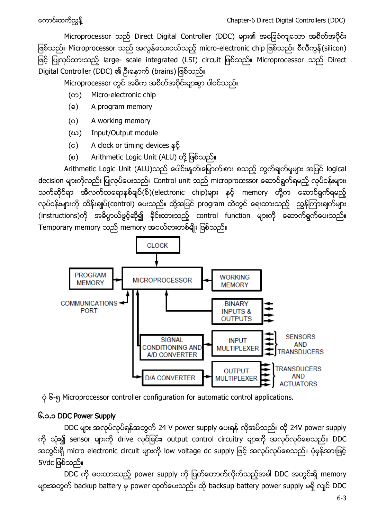Microprocessor သည် Direct Digital Controller (DDC) များ၏ အခြေခံကျသော အစိတ်အပိုင်း ဖြစ်သည်။ Microprocessor သည် အလွန်သေးငယ်သည့် micro-electronic chip ဖြစ်သည်။ စီလီကွန်(silicon) ဖြင့် ပြုလုပ်ထားသည့် large- scale integrated (LSI) circuit ဖြစ်သည်။ Microprocessor သည် Direct Digital Controller (DDC) ၏

Microprocessor တွင် အဓိက အစိတ်အပိုင်းများစွာ ပါဝင်သည်။

- ( $\infty$ ) Micro-electronic chip
- (a) A program memory
- (ဂ) A working memory
- (ဃ) Input/Output module
- $(c)$  A clock or timing devices နှင့်
- (စ) Arithmetic Logic Unit (ALU) တို့ ဖြစ်သည်။

Arithmetic Logic Unit (ALU)သည် ပေါင်း၊နတ်၊မြှောက်၊စား စသည့် တွက်ချက်မှုများ အပြင် logical decision များကိုလည်း ပြုလုပ်ပေးသည်။ Control unit သည် microprocessor ဆောင်ရွက်ရမည့် လုပ်ငန်းများ၊ သက်ဆိုင်ရာ အီလက်ထရောနစ်ချပ်(စ်)(electronic chip)များ နှင့် memory တို့က ဆောင်ရွက်ရမည့် လုပ်ငန်းများကို ထိန်းချုပ်(control) ပေးသည်။ ထို့အပြင် program ထဲတွင် ရေးထားသည့် ညွန်ကြားချက်များ (instructions)ကို အဓိပ္ပာယ်ဖွင့်ဆို၍ ခိုင်းထားသည့် control function များကို ဆောက်ရွက်ပေးသည်။ Temporary memory သည် memory အငယ်စားတစ်မျိုး ဖြစ်သည်။



၆-၅ Microprocessor controller configuration for automatic control applications.

# <span id="page-2-0"></span>၆.၁.၁ DDC Power Supply

DDC များ အလုပ်လုပ်ရန်အတွက် 24 V power supply ပေးရန် လိုအပ်သည်။ ထို 24V power supply ကို သုံး၍ sensor များကို drive လုပ်ခြင်း၊ output control circuitry များကို အလုပ်လုပ်စေသည်။ DDC အတွင်းရှိ micro electronic circuit များကို low voltage dc supply ဖြင့် အလုပ်လုပ်စေသည်။ ပုံမှန်အားဖြင့် 5Vdc ဖြစ်သည်။

DDC ကို ပေးထားသည့် power supply ကို ပြတ်တောက်လိုက်သည့်အခါ DDC အတွင်းရှိ memory များအတွက် backup battery မှ power ထုတ်ပေးသည်။ ထို backsup battery power supply မရှိ လျင် DDC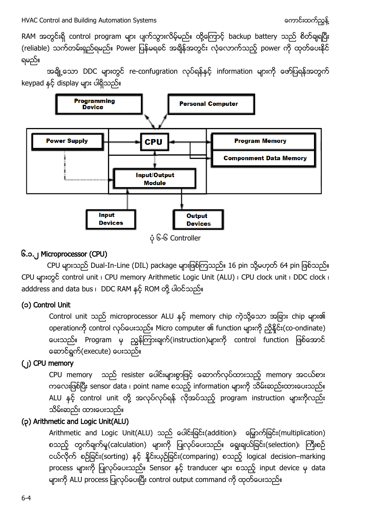RAM အတွင်းရှိ control program များ ပျက်သွားလိမ့်မည်။ ထို့ကြောင့် backup battery သည် စိတ်ချရပြီး (reliable) သက်တမ်းရှည်ရမည်။ Power ပြန်မရခင် အချိန်အတွင်း လုံလောက်သည့် power ကို ထုတ်ပေးနိုင် ရမည်။

အချို့သော DDC များတွင် re-confugration လုပ်ရန်နှင့် information များကို ဖော်ပြရန်အတွက် keypad နှင့် display များ ပါရှိသည်။



## ၆-၆ Controller

### <span id="page-3-0"></span>၆.၁.၂ Microprocessor (CPU)

CPU များသည် Dual-In-Line (DIL) package များဖြစ်ကြသည်။ 16 pin သို့မဟုတ် 64 pin ဖြစ်သည်။ CPU များတွင် control unit ၊ CPU memory Arithmetic Logic Unit (ALU) ၊ CPU clock unit ၊ DDC clock ၊ adddress and data bus ၊ DDC RAM နှင့် ROM တို့ ပါဝင်သည်။

### (၁) Control Unit

Control unit သည် microprocessor ALU နှင့် memory chip ကဲ့သို့သော အခြား chip များ၏ operationကို control လုပ်ပေးသည်။ Micro computer ၏ function များကို ညှိနိုင်း(co-ondinate) ပေးသည်။ Program မှ ညွှန်ကြားချက်(instruction)များကို control function ဖြစ်အောင် ဆောင်ရွက်(execute) ပေးသည်။

### (၂) CPU memory

CPU memory သည် resister ပေါင်းများစွာဖြင့် ဆောက်လုပ်ထားသည့် memory အငယ်စား ကလေးဖြစ်ပြီး sensor data ၊ point name စသည့် information များကို သိမ်းဆည်းထားပေးသည်။ ALU နှင့် control unit တို့ အလုပ်လုပ်ရန် လိုအပ်သည့် program instruction များကိုလည်း သိမ်းဆည်း ထားပေးသည်။

## (၃) Arithmetic and Logic Unit(ALU)

Arithmetic and Logic Unit(ALU) သည် ပေါင်းခြင်း(addition)၊ မြှောက်ခြင်း(multiplication) စသည့် တွက်ချက်မှု(calculation) များကို ပြုလုပ်ပေးသည်။ ရွေးချယ်ခြင်း(selection)၊ ကြီးစဉ် ငယ်လိုက် စဉ်ခြင်း(sorting) နှင့် နိုင်းယှဉ်ခြင်း(comparing) စသည့် logical decision–marking process များကို ပြုလုပ်ပေးသည်။ Sensor နှင့် tranducer များ စသည့် input device မှ data များကို ALU process ပြုလုပ်ပေးပြီး control output command ကို ထုတ်ပေးသည်။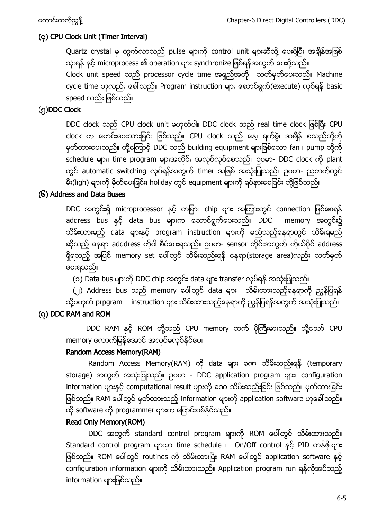## (၄) CPU Clock Unit (Timer Interval)

Quartz crystal မှ ထွက်လာသည် pulse များကို control unit များဆီသို့ ပေးပို့ပြီး အရိန်အဖြစ် သုံးရန် နှင့် microprocess ၏ operation များ synchronize ဖြစ်ရန်အတွက် ပေးပို့သည်။ Clock unit speed သည် processor cycle time အရှည်အတို သတ်မှတ်ပေးသည်။ Machine cycle time ဟုလည်း ခေါ် သည်။ Program instruction များ ဆောင်ရွက်(execute) လုပ်ရန် basic speed လည်း ဖြစ်သည်။

## (၅)DDC Clock

DDC clock သည် CPU clock unit မဟုတ်ပါ။ DDC clock သည် real time clock ဖြစ်ပြီး CPU clock က မောင်းပေးထားခြင်း ဖြစ်သည်။ CPU clock သည် နေ့၊ ရက်စွဲ၊ အချိန် စသည်တို့ကို မှတ်ထားပေးသည်။ ထို့ကြောင့် DDC သည် building equipment များဖြစ်သော fan ၊ pump တို့ကို schedule များ၊ time program များအတိုင်း အလုပ်လုပ်စေသည်။ ဉပမာ- DDC clock ကို plant တွင် automatic switching လုပ်ရန်အတွက် timer အဖြစ် အသုံးပြုသည်။ ဥပမာ- ညဘက်တွင် မီး(ligh) များကို မိုတ်ပေးခြင်း၊ holiday တွင် equipment များကို ရပ်နားစေခြင်း တို့ဖြစ်သည်။

## (၆) Address and Data Buses

DDC အတွင်းရှိ microprocessor နှင့် တခြား chip များ အကြားတွင် connection ဖြစ်စေရန် address bus နှင့် data bus များက ဆောင်ရွက်ပေးသည်။ DDC memory အတွင်း၌ သိမ်းထားမည့် data များနှင့် program instruction များကို မည်သည့်နေရာတွင် သိမ်းရမည် ဆိုသည့် နေရာ adddress ကိုပါ စီမံပေးရသည်။ ဉပမာ- sensor တိုင်းအတွက် ကိုယ်ပိုင် address ရှိရသည့် အပြင် memory set ပေါ်တွင် သိမ်းဆည်းရန် နေရာ(storage area)လည်း သတ်မှတ် ပေးရသည်။

(၁) Data bus များကို DDC chip အတွင်း data များ transfer လုပ်ရန် အသုံးပြုသည်။

(၂) Address bus သည် memory ပေါ်တွင် data များ သိမ်းထားသည့်နေရာကို ညွန်ပြရန် သို့မဟုတ် prpgram instruction များ သိမ်းထားသည့်နေရာကို ညွှန်ပြရန်အတွက် အသုံးပြုသည်။

# (၇) DDC RAM and ROM

DDC RAM နှင့် ROM တို့သည် CPU memory ထက် ပိုကြီးမားသည်။ သို့သော် CPU memory လောက်မြန်အောင် အလုပ်မလုပ်နိုင်ပေ။

## Random Access Memory(RAM)

Random Access Memory(RAM) ကို data များ ခက သိမ်းဆည်းရန် (temporary storage) အတွက် အသုံးပြုသည်။ ဥပမာ - DDC application program များ၊ configuration information များနှင့် computational result များကို ခက သိမ်းဆည်းခြင်း ဖြစ်သည်။ မှတ်ထားခြင်း ဖြစ်သည်။ RAM ပေါ်တွင် မှတ်ထားသည့် information များကို application software ဟုခေါ် သည်။ ထို software ကို programmer များက ပြောင်းပစ်နိုင်သည်။

## Read Only Memory(ROM)

DDC အတွက် standard control program များကို ROM ပေါ်တွင် သိမ်းထားသည်။ Standard control program များမှာ time schedule ၊ On/Off control နှင့် PID တန်ဖိုးများ ဖြစ်သည်။ ROM ပေါ်တွင် routines ကို သိမ်းထားပြီး RAM ပေါ်တွင် application software နှင့် configuration information များကို သိမ်းထားသည်။ Application program run ရန်လိုအပ်သည့် information များဖြစ်သည်။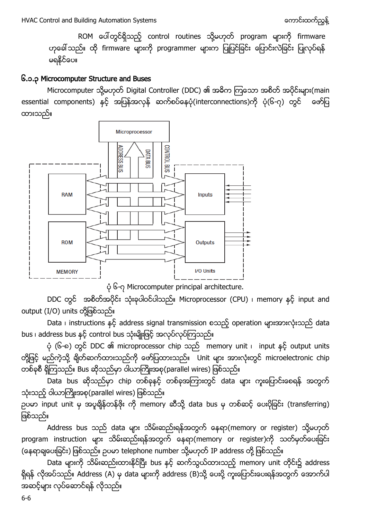ROM ပေါ်တွင်ရှိသည့် control routines သို့မဟုတ် program များကို firmware ဟုခေါ် သည်။ ထို firmware များကို programmer များက ပြုပြင်ခြင်း ပြောင်းလဲခြင်း ပြုလုပ်ရန် မရနိုင်ပေ။

#### <span id="page-5-0"></span>၆.၁.၃ Microcomputer Structure and Buses

Microcomputer သို့မဟုတ် Digital Controller (DDC) ၏ အဓိက ကြသော အစိတ် အပိုင်းများ(main essential components) နှင့် အပြန်အလှန် ဆက်စပ်နေပုံ(interconnections)ကို ပုံ(၆-၇) တွင် ဖော်ပြ ထားသည်။



၆-၇ Microcomputer principal architecture.

DDC တွင် အစိတ်အပိုင်း သုံးခုပါဝင်ပါသည်။ Microprocessor (CPU) ၊ memory နှင့် input and output (I/O) units တို့ဖြစ်သည်။

Data ၊ instructions နှင့် address signal transmission စသည့် operation များအားလုံးသည် data bus ၊ address bus နှင့် control bus သုံးမျိုးဖြင့် အလုပ်လုပ်ကြသည်။

ပုံ (၆-၈) တွင် DDC ၏ microprocessor chip သည် memory unit ၊ input နှင့် output units တို့ဖြင့် မည်ကဲ့သို့ ရိုတ်ဆက်ထားသည်ကို ဖော်ပြထားသည်။ Unit များ အားလုံးတွင် microelectronic chip တစ်ခုစီ ရှိကြသည်။ Bus ဆိုသည်မှာ ဝါယာကြိုးအစု(parallel wires) ဖြစ်သည်။

Data bus chip data သုံးသည့် ဝါယာကြိုးအစု(parallel wires) ဖြစ်သည်။

ဉပမာ input unit မှ အပူချိန်တန်ဖိုး ကို memory ဆီသို့ data bus မှ တစ်ဆင့် ပေးပိုခြင်း (transferring) ဖြစ်သည်။

Address bus သည် data များ သိမ်းဆည်းရန်အတွက် နေရာ(memory or register) သို့မဟုတ် program instruction များ သိမ်းဆည်းရန်အတွက် နေရာ(memory or register)ကို သတ်မှတ်ပေးခြင်း (နေရာရျပေးခြင်း) ဖြစ်သည်။ ဥပမာ telephone number သို့မဟုတ် IP address တို့ ဖြစ်သည်။

Data များကို သိမ်းဆည်းထားနိုင်ပြီး bus နှင့် ဆက်သွယ်ထားသည့် memory unit တိုင်း၌ address ရှိရန် လိုအပ်သည်။ Address (A) မှ data များကို address (B)သို့ ပေးပို့ ကူးပြောင်းပေးရန်အတွက် အောက်ပါ အဆင့်များ လုပ်ဆောင်ရန် လိုသည်။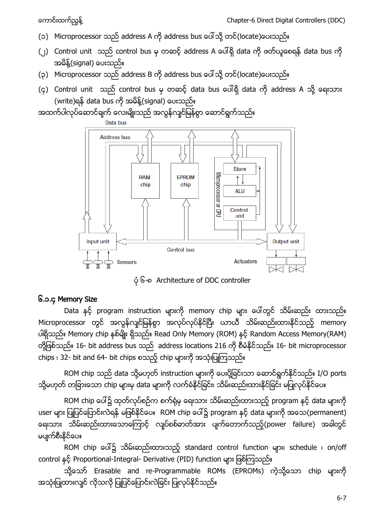- (၁) Microprocessor သည် address A ကို address bus ပေါ်သို့ တင်(locate)ပေးသည်။
- (၂) Control unit သည် control bus မှ တဆင့် address A ပေါ်ရှိ data ကို ဖတ်ယူစေရန် data bus ကို အမိန့်(signal) ပေးသည်။
- (၃) Microprocessor သည် address B ကို address bus ပေါ်သို့ တင်(locate)ပေးသည်။
- (၄) Control unit သည် control bus မှ တဆင့် data bus ပေါ်ရှိ data ကို address A သို့ ရေးသား (write)ရန် data bus ကို အမိန့်(signal) ပေးသည်။

အထက်ပါလုပ်ဆောင်ချက် လေးမျိုးသည် အလွန်လျင်မြန်စွာ ဆောင်ရွက်သည်။



၆-၈ Architecture of DDC controller

### <span id="page-6-0"></span>၆.၁.၄ Memory Size

Data နှင့် program instruction များကို memory chip များ ပေါ်တွင် သိမ်းဆည်း ထားသည်။ Microprocessor တွင် အလွန်လျင်မြန်စွာ အလုပ်လုပ်နိုင်ပြီး ယာယီ သိမ်းဆည်းထားနိုင်သည့် memory ပါရှိသည်။ Memory chip နစ်မျိုး ရှိသည်။ Read Only Memory (ROM) နင့် Random Access Memory(RAM) တို့ဖြစ်သည်။ 16- bit address bus သည် address locations 216 ကို စီမံနိုင်သည်။ 16- bit microprocessor chips ၊ 32- bit and 64- bit chips စသည့် chip များကို အသုံးပြုကြသည်။

ROM chip သည် data သို့မဟုတ် instruction များကို ပေးပို့ခြင်းသာ ဆောင်ရွက်နိုင်သည်။ I/O ports သို့မဟုတ် တခြားသော chip များမှ data များကို လက်ခံနိုင်ခြင်း၊ သိမ်းဆည်းထားနိုင်ခြင်း မပြုလုပ်နိုင်ပေ။

ROM chip ပေါ်၌ ထုတ်လုပ်စဉ်က စက်ရုံမှ ရေးသား သိမ်းဆည်းထားသည့် program နှင့် data များကို user များ ပြုပြင်ပြောင်းလဲရန် မဖြစ်နိုင်ပေ။ ROM chip ပေါ်၌ program နှင့် data များကို အသေ(permanent) ရေးသား သိမ်းဆည်းထားသောကြောင့် လျှပ်စစ်ဓာတ်အား ပျက်တောက်သည့်(power failure) အခါတွင် မပျက်စီးနိုင်ပေ။

ROM chip ပေါ်၌ သိမ်းဆည်းထားသည့် standard control function များ၊ schedule ၊ on/off control နှင့် Proportional-Integral- Derivative (PID) function များ ဖြစ်ကြသည်။

သို့သော် Erasable and re-Programmable ROMs (EPROMs) ကဲ့သို့သော chip များကို အသုံးပြုထားလျင် လိုသလို ပြုပြင်ပြောင်းလဲခြင်း ပြုလုပ်နိုင်သည်။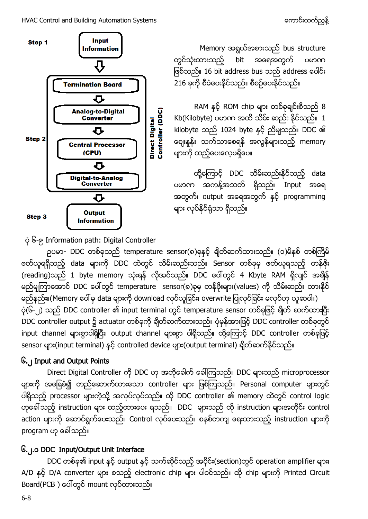

Memory အရွယ်အစားသည် bus structure တွင်သုံးထားသည့် bit အရေအတွက် ပမာဏ ဖြစ်သည်။ 16 bit address bus သည် address ပေါင်း 216 ခုကို စီမံပေးနိုင်သည်။ စီစဉ်ပေးနိုင်သည်။

RAM နှင့် ROM chip များ တစ်ခုချင်းစီသည် 8  $Kb(Kilobyte)$  ပမာဏ အထိ သိမ်း ဆည်း နိုင်သည်။  $1$ kilobyte သည် 1024 byte နှင့် ညီမျသည်။ DDC ၏ ဈေးနုန်း သက်သာစေရန် အလွန်များသည့် memory များကို ထည့်ပေးလေ့မရှိပေ။

ထို့ကြောင့် DDC သိမ်းဆည်းနိုင်သည့် data ပမာဏ အကန့်အသတ် ရှိသည်။ Input အရေ အတွက်၊ output အရေအတွက် နှင့် programming များ လုပ်နိုင်ရုံသာ ရှိသည်။

၆-၉ Information path: Digital Controller

ဉပမာ- DDC တစ်ခုသည် temperature sensor(၈)ခုနှင့် ချိတ်ဆက်ထားသည်။ (၁)မိနစ် တစ်ကြိမ် .<br>ဖတ်ယူရရှိသည့် data များကို DDC ထဲတွင် သိမ်းဆည်းသည်။ Sensor တစ်ခုမှ ဖတ်ယူရသည့် တန်ဖိုး (reading)သည် 1 byte memory သုံးရန် လိုအပ်သည်။ DDC ပေါ်တွင် 4 Kbyte RAM ရှိလျင် အရိန် မည်မျကြာအောင် DDC ပေါ်တွင် temperature sensor(၈)ခုမှ တန်ဖိုးများ(values) ကို သိမ်းဆည်း ထားနိုင် မည်နည်း။(Memory ပေါ်မှ data များကို download လုပ်ယူခြင်း၊ overwrite ပြုလုပ်ခြင်း မလုပ်ဟု ယူဆပါ။) ပုံ(၆-၂) သည် DDC controller ၏ input terminal တွင် temperature sensor တစ်ခုဖြင့် ချိတ် ဆက်ထားပြီး DDC controller output ၌ actuator တစ်ခုကို ချိတ်ဆက်ထားသည်။ ပုံမှန်အားဖြင့် DDC controller တစ်ခုတွင် input channel များစွာပါရှိပြီး၊ output channel များစွာ ပါရှိသည်။ ထို့ကြောင့် DDC controller တစ်ခုဖြင့် sensor များ(input terminal) နှင့် controlled device များ(output terminal) ရိုတ်ဆက်နိုင်သည်။

## <span id="page-7-0"></span>၆.၂ Input and Output Points

Direct Digital Controller ကို DDC ဟု အတိုခေါက် ခေါ်ကြသည်။ DDC များသည် microprocessor များကို အခြေခံ၍ တည်ဆောက်ထားသော controller များ ဖြစ်ကြသည်။ Personal computer များတွင် ပါရှိသည့် processor များကဲ့သို့ အလုပ်လုပ်သည်။ ထို DDC controller ၏ memory ထဲတွင် control logic ဟုခေါ် သည့် instruction များ ထည့်ထားပေး ရသည်။ DDC များသည် ထို instruction များအတိုင်း control action များကို ဆောင်ရွက်ပေးသည်။ Control လုပ်ပေးသည်။ စနစ်တကျ ရေးထားသည့် instruction များကို program ဟု ခေါ် သည်။

## <span id="page-7-1"></span>၆.၂.၁ DDC Input/Output Unit Interface

DDC တစ်ခု၏ input နှင့် output နှင့် သက်ဆိုင်သည့် အပိုင်း(section)တွင် operation amplifier များ၊ A/D နှင့် D/A converter များ စသည့် electronic chip များ ပါဝင်သည်။ ထို chip များကို Printed Circuit Board(PCB) ပေါ်တွင် mount လုပ်ထားသည်။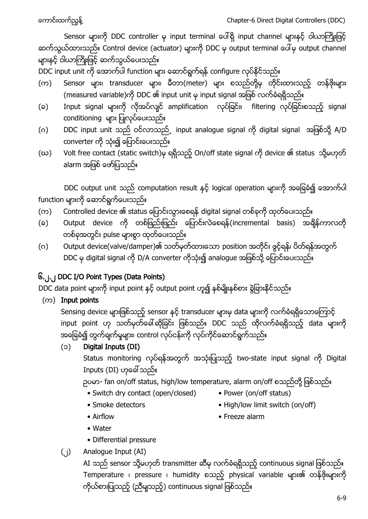Sensor များကို DDC controller မှ input terminal ပေါ်ရှိ input channel များနှင့် ဝါယာကြိုးဖြင့် ဆက်သွယ်ထားသည်။ Control device (actuator) များကို DDC မှ output terminal ပေါ်မှ output channel များနှင့် ဝါယာကြိုးဖြင့် ဆက်သွယ်ပေးသည်။

DDC input unit ကို အောက်ပါ function များ ဆောင်ရွက်ရန် configure လုပ်နိုင်သည်။

- (က) Sensor များ၊ transducer များ၊ မီတာ(meter) များ စသည်တို့မှ တိုင်းထားသည့် တန်ဖိုးများ (measured variable)ကို DDC ၏ input unit မှ input signal အဖြစ် လက်ခံရရှိသည်။
- (ခ) Input signal များကို လိုအပ်လျင် amplification လုပ်ခြင်း၊ filtering လုပ်ခြင်းစသည့် signal conditioning များ ပြုလုပ်ပေးသည်။
- (ဂ) DDC input unit သည် ဝင်လာသည် input analogue signal ကို digital signal အဖြစ်သို့ A/D converter ကို သုံး၍ ပြောင်းပေးသည်။
- (ဃ) Volt free contact (static switch)မှ ရရှိသည့် On/off state signal ကို device ၏ status သို့မဟုတ် alarm အဖြစ် ဖော်ပြသည်။

DDC output unit သည် computation result နှင့် logical operation များကို အခြေခံ၍ အောက်ပါ function များကို ဆောင်ရွက်ပေးသည်။

- (က) Controlled device ၏ status ပြောင်းသွားစေရန် digital signal တစ်ခုကို ထုတ်ပေးသည်။
- (ခ) Output device ကို တစ်ဖြည်းဖြည်း ပြောင်းလဲစေရန်(incremental basis) အချိန်ကာလတို တစ်ခုအတွင်း pulse များစွာ ထုတ်ပေးသည်။
- (ဂ) Output device(valve/damper)၏ သတ်မှတ်ထားသော position အတိုင်း ဖွင့်ရန်၊ ပိတ်ရန်အတွက် DDC မှ digital signal ကို D/A converter ကိုသုံး၍ analogue အဖြစ်သို့ ပြောင်းပေးသည်။

# <span id="page-8-0"></span>၆.၂.၂ DDC I/O Point Types (Data Points)

DDC data point များကို input point နှင့် output point ဟူ၍ နှစ်မျိုးနှစ်တး ခွဲခြားနိုင်သည်။

 $($ ( $\infty$ ) Input points

Sensing device များဖြစ်သည့် sensor နှင့် transducer များမှ data များကို လက်ခံရရှိသောကြောင့် input point ဟု သတ်မှတ်ခေါ်ဆိုခြင်း ဖြစ်သည်။ DDC သည် ထိုလက်ခံရရှိသည့် data များကို အခြေခံ၍ တွက်ချက်မှုများ၊ control လုပ်ငန်းကို လုပ်ကိုင်ဆောင်ရွက်သည်။

## (၁) Digital Inputs (DI)

Status monitoring လုပ်ရန်အတွက် အသုံးပြုသည့် two-state input signal ကို Digital Inputs (DI)

ဉပမာ- fan on/off status, high/low temperature, alarm on/off စသည်တို့ ဖြစ်သည်။

- Switch dry contact (open/closed) Power (on/off status)
- 
- 
- 
- Smoke detectors High/low limit switch (on/off)
- 
- Airflow Freeze alarm
- Water
- Differential pressure
- (၂) Analogue Input (AI)

AI သည် sensor သို့မဟုတ် transmitter ဆီမှ လက်ခံရရှိသည့် continuous signal ဖြစ်သည်။ Temperature ၊ pressure ၊ humidity စသည့် physical variable များ၏ တန်ဖိုးများကို ကိုယ်စားပြုသည့် (ညီမျသည့်) continuous signal ဖြစ်သည်။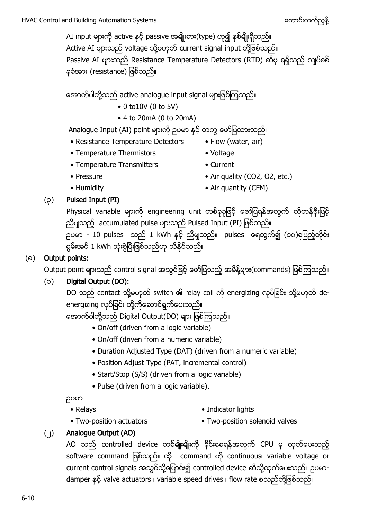AI input များကို active နှင့် passive အမျိုးစား(type) ဟု၍ နှစ်မျိုးရှိသည်။ Active AI များသည် voltage သို့မဟုတ် current signal input တို့ဖြစ်သည်။ Passive AI များသည် Resistance Temperature Detectors (RTD) ဆီမှ ရရှိသည့် လျပ်စစ် နာရံအား (resistance) ဖြစ်သည်။

အောက်ပါတို့သည် active analogue input signal များဖြစ်ကြသည်။

- $\bullet$  0 to 10V (0 to 5V)
- 4 to 20mA (0 to 20mA)

Analogue Input (AI) point များကို ဉပမာ နှင့် တကွ ဖော်ပြထားသည်။

- Resistance Temperature Detectors Flow (water, air)
- Temperature Thermistors Voltage
- -
- 
- Temperature Transmitters Current
- Pressure Air quality (CO2, O2, etc.)
- 
- Humidity Air quantity (CFM)

## (၃) Pulsed Input (PI)

Physical variable များကို engineering unit တစ်ခုခုဖြင့် ဖော်ပြရန်အတွက် ထိုတန်ဖိုးဖြင့် ညီမျသည့် accumulated pulse များသည် Pulsed Input (PI) ဖြစ်သည်။ ဉပမာ - 10 pulses သည် 1 kWh နှင့် ညီမျသည်။ pulses ရေတွက်၍ (၁၀)ခုပြည့်တိုင်း စွမ်းအင် 1 kWh သုံးစွဲပြီးဖြစ်သည်ဟု သိနိုင်သည်။

# $(a)$  Output points:

Output point များသည် control signal အသွင်ဖြင့် ဖော်ပြသည့် အမိန့်များ(commands) ဖြစ်ကြသည်။

# (၁) Digital Output (DO):

DO သည် contact သို့မဟုတ် switch ၏ relay coil ကို energizing လုပ်ခြင်း သို့မဟုတ် deenergizing လုပ်ခြင်း တို့ကိုဆောင်ရွက်ပေးသည်။

အောက်ပါတို့သည် Digital Output(DO) များ ဖြစ်ကြသည်။

- On/off (driven from a logic variable)
- On/off (driven from a numeric variable)
- Duration Adjusted Type (DAT) (driven from a numeric variable)
- Position Adjust Type (PAT, incremental control)
- Start/Stop (S/S) (driven from a logic variable)
- Pulse (driven from a logic variable).

### ဥပမာ

- 
- Relays Indicator lights
- Two-position actuators Two-position solenoid valves
- 
- 
- (၂) Analogue Output (AO)

AO သည် controlled device တစ်မျိုးမျိုးကို ခိုင်းစေရန်အတွက် CPU မှ ထုတ်ပေးသည့် software command ဖြစ်သည်။ ထို command ကို continuous၊ variable voltage or current control signals အသွင်သို့ပြောင်း၍ controlled device ဆီသို့ထုတ်ပေးသည်။ ဉပမာdamper နှင့် valve actuators ၊ variable speed drives ၊ flow rate စသည်တို့ဖြစ်သည်။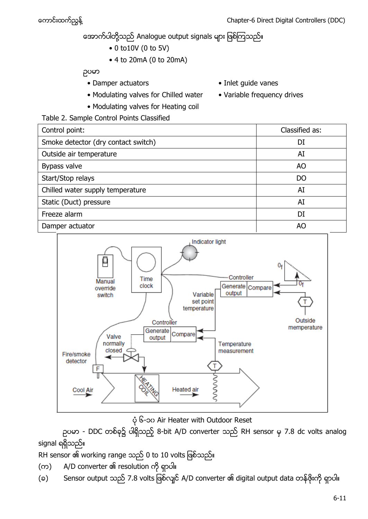# အောက်ပါတို့သည် Analogue output signals များ ဖြစ်ကြသည်။

- $\bullet$  0 to 10V (0 to 5V)
- 4 to 20mA (0 to 20mA)

ဥပမာ

- Damper actuators Inlet guide vanes
- Modulating valves for Chilled water Variable frequency drives
- Modulating valves for Heating coil
- 
- 
- Table 2. Sample Control Points Classified

| Control point:                      | Classified as: |
|-------------------------------------|----------------|
| Smoke detector (dry contact switch) | DI             |
| Outside air temperature             | AI             |
| Bypass valve                        | AO             |
| Start/Stop relays                   | DO             |
| Chilled water supply temperature    | AI             |
| Static (Duct) pressure              | AI             |
| Freeze alarm                        | DI             |
| Damper actuator                     | AO             |



၆-၁၀ Air Heater with Outdoor Reset

ဉပမာ - DDC တစ်ခု၌ ပါရှိသည့် 8-bit A/D converter သည် RH sensor မှ 7.8 dc volts analog signal ရရှိသည်။

RH sensor ၏ working range သည် 0 to 10 volts ဖြစ်သည်။

- (က) A/D converter ၏ resolution ကို ရှာပါ။
- (ခ) Sensor output သည် 7.8 volts ဖြစ်လျင် A/D converter ၏ digital output data တန်ဖိုးကို ရှာပါ။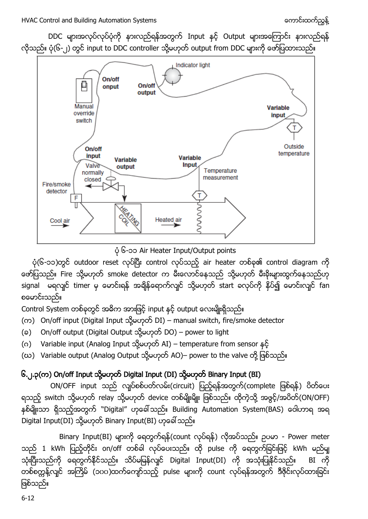HVAC Control and Building Automation Systems (matches and the combine and the combine and the combine and the m

DDC များအလုပ်လုပ်ပုံကို နားလည်ရန်အတွက် Input နှင့် Output များအကြောင်း နားလည်ရန် လိုသည်။ ပုံ(၆-၂) တွင် input to DDC controller သို့မဟုတ် output from DDC များကို ဖော်ပြထားသည်။



၆-၁၁ Air Heater Input/Output points

 $\phi$ (၆-၁၁)တွင် outdoor reset လုပ်ပြီး control လုပ်သည့် air heater တစ်ခု၏ control diagram ကို ဖော်ပြသည်။ Fire သို့မဟုတ် smoke detector က မီးလောင်နေသည် သို့မဟုတ် မီးခိုးများထွက်နေသည်ဟု signal မရလျှင် timer မှ မောင်းရန် အချိန်ရောက်လျင် သို့မဟုတ် start ခလုပ်ကို နှိပ်၍ မောင်းလျင် fan စမောင်းသည်။

Control System တစ်ခုတွင် အဓိက အားဖြင့် input နှင့် output လေးမျိုးရှိသည်။

- (က) On/off input (Digital Input သို့မဟုတ် DI) manual switch, fire/smoke detector
- (၁) On/off output (Digital Output သို့မဟုတ် DO) power to light
- (ဂ) Variable input (Analog Input သို့မဟုတ် AI) temperature from sensor နင့်
- (ဃ) Variable output (Analog Output သို့မဟုတ် AO)– power to the valve တို့ ဖြစ်သည်။

# <span id="page-11-0"></span>၆.၂.၃(က) On/off Input သို့မဟုတ် Digital Input (DI) သို့မဟုတ် Binary Input (BI)

ON/OFF input သည် လျပ်စစ်ပတ်လမ်း(circuit) ပြည့်ရန်အတွက်(complete ဖြစ်ရန်) ပိတ်ပေး ရသည့် switch သို့မဟုတ် relay သို့မဟုတ် device တစ်မျိုးမျိုး ဖြစ်သည်။ ထိုကဲ့သို့ အဖွင့်/အပိတ်(ON/OFF) နှစ်မျိုးသာ ရှိသည့်အတွက် ``Digital" ဟုခေါ်သည်။ Building Automation System(BAS) ဝေါဟာရ အရ Digital Input(DI) သို့မဟုတ် Binary Input(BI) ဟုခေါ် သည်။

Binary Input(BI) များကို ရေတွက်ရန်(count လုပ်ရန်) လိုအပ်သည်။ ဉပမာ - Power meter သည် 1 kWh ပြည့်တိုင်း on/off တစ်ခါ လုပ်ပေးသည်။ ထို pulse ကို ရေတွက်ခြင်းဖြင့် kWh မည်မျ သုံးပြီးသည်ကို ရေတွက်နိုင်သည်။ သိပ်မမြန်လျင် Digital Input(DI) ကို အသုံးပြုနိုင်သည်။ BI ကို တစ်စက္ကန့်လျင် အကြိမ် (၁၀၀)ထက်ကျော်သည့် pulse များကို count လုပ်ရန်အတွက် ဒီဇိုင်းလုပ်ထားခြင်း ဖြစ်သည်။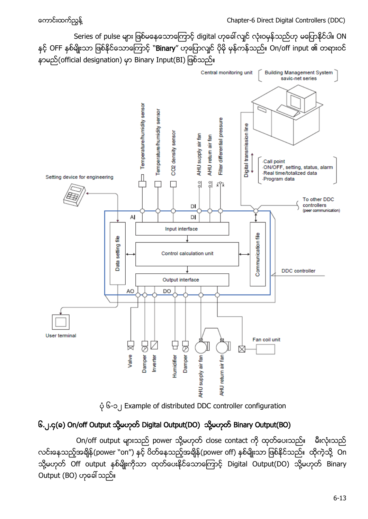Series of pulse များ ဖြစ်မနေသောကြောင့် digital ဟုခေါ် လျင် လုံးဝမှန်သည်ဟု မပြောနိုင်ပါ။ ON နှင့် OFF နှစ်မျိုးသာ ဖြစ်နိုင်သောကြောင့် "Binary" ဟုပြောလျင် ပိုမို မှန်ကန်သည်။ On/off input ၏ တရားဝင် နာမည်(official designation) မှာ Binary Input(BI) ဖြစ်သည်။



၆-၁၂ Example of distributed DDC controller configuration

# <span id="page-12-0"></span>၆.၂.၄(ေ) On/off Output သို့မဟုတ် Digital Output(DO) သို့မဟုတ် Binary Output(BO)

On/off output များသည် power သို့မဟုတ် close contact ကို ထုတ်ပေးသည်။ မီးလုံးသည် လင်းနေသည့်အချိန်(power ``on″) နင့် ပိတ်နေသည့်အချိန်(power off) နစ်မျိုးသာ ဖြစ်နိုင်သည်။ ထိုကဲ့သို့ On သို့မဟုတ် Off output နှစ်မျိုးကိုသာ ထုတ်ပေးနိုင်သောကြောင့် Digital Output(DO) သို့မဟုတ် Binary Output (BO)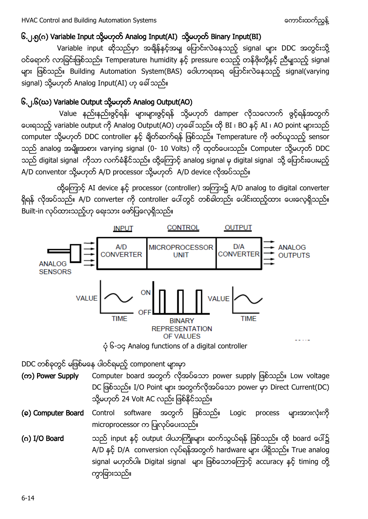## <span id="page-13-0"></span>၆.၂.၅(ဂ) Variable Input သို့မဟုတ် Analog Input(AI) သို့မဟုတ် Binary Input(BI)

Variable input ဆိုသည်မှာ အရှိန်နှင့်အမျ ပြောင်းလဲနေသည့် signal များ DDC အတွင်းသို့ ဝင်ရောက် လာခြင်းဖြစ်သည်။ Temperature၊ humidity နှင့် pressure စသည့် တန်ဖိုးတို့နှင့် ညီမျှသည့် signal များ ဖြစ်သည်။ Building Automation System(BAS) ဝေါဟာရအရ ပြောင်းလဲနေသည့် signal(varying signal) သို့မဟုတ် Analog Input(AI) ဟု ခေါ် သည်။

## <span id="page-13-1"></span>၆.၂.၆(ဃ) Variable Output သို့မဟုတ် Analog Output(AO)

Value နည်းနည်းဖွင့်ရန်၊ များများဖွင့်ရန် သို့မဟုတ် damper လိုသလောက် ဖွင့်ရန်အတွက် ပေးရသည့် variable output ကို Analog Output(AO) ဟုခေါ် သည်။ ထို BI ၊ BO နှင့် AI ၊ AO point များသည် computer သို့မဟုတ် DDC controller နှင့် ရိုတ်ဆက်ရန် ဖြစ်သည်။ Temperature ကို ဖတ်ယူသည့် sensor သည် analog အမျိုးအစား varying signal (0- 10 Volts) ကို ထုတ်ပေးသည်။ Computer သို့မဟုတ် DDC သည် digital signal ကိုသာ လက်ခံနိုင်သည်။ ထို့ကြောင့် analog signal မှ digital signal သို့ ပြောင်းပေးမည့် A/D conventor သို့မဟုတ် A/D processor သို့မဟုတ် A/D device လိုအပ်သည်။

ထို့ကြောင့် AI device နှင့် processor (controller) အကြား၌ A/D analog to digital converter ရှိရန် လိုအပ်သည်။ A/D converter ကို controller ပေါ်တွင် တစ်ခါတည်း ပေါင်းထည့်ထား ပေးလေ့ရှိသည်။ Built-in လုပ်ထားသည့်ဟု ရေးသား ဖော်ပြလေ့ရှိသည်။



DDC တစ်ခုတွင် မဖြစ်မနေ ပါဝင်ရမည့် component များမှာ

(က) Power Supply Computer board အတွက် လိုအပ်သော power supply ဖြစ်သည်။ Low voltage DC ဖြစ်သည်။ I/O Point များ အတွက်လိုအပ်သော power မှာ Direct Current(DC) သို့မဟုတ် 24 Volt AC လည်း ဖြစ်နိုင်သည်။

(**a) Computer Board** Control software အတွက် ဖြစ်သည်။ Logic process များအားလုံးကို microprocessor က ပြုလုပ်ပေးသည်။

(ဂ) I/O Board သည် input နှင့် output ဝါယာကြိုးများ ဆက်သွယ်ရန် ဖြစ်သည်။ ထို board ပေါ်၌ A/D နှင့် D/A conversion လုပ်ရန်အတွက် hardware များ ပါရှိသည်။ True analog signal မဟုတ်ပါ။ Digital signal များ ဖြစ်သောကြောင့် accuracy နှင့် timing တို့ ကွာခြားသည်။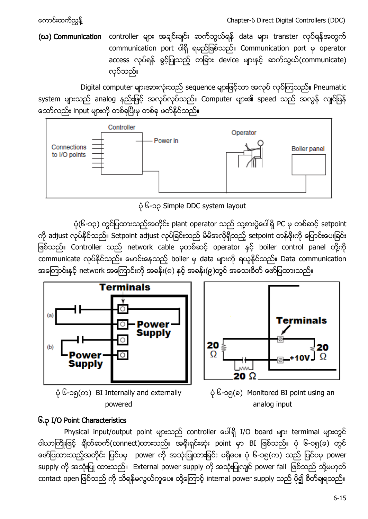(ဃ) Communication controller များ အချင်းချင်း ဆက်သွယ်ရန် data များ transter လုပ်ရန်အတွက် communication port ပါရှိ ရမည်ဖြစ်သည်။ Communication port မှ operator access လုပ်ရန် ခွင့်ပြုသည့် တခြား device များနှင့် ဆက်သွယ်(communicate) လုပ်သည်။

Digital computer များအားလုံးသည် sequence များဖြင့်သာ အလုပ် လုပ်ကြသည်။ Pneumatic system များသည် analog နည်းဖြင့် အလုပ်လုပ်သည်။ Computer များ၏ speed သည် အလွန် လျင်မြန် သော်လည်း input များကို တစ်ခုပြီးမှ တစ်ခု ဖတ်နိုင်သည်။



၆-၁၃ Simple DDC system layout

ပုံ(၆-၁၃) တွင်ပြထားသည့်အတိုင်း plant operator သည် သူ့စားပွဲပေါ်ရှိ PC မှ တစ်ဆင့် setpoint ကို adjust လုပ်နိုင်သည်။ Setpoint adjust လုပ်ခြင်းသည် မိမိအလိုရှိသည့် setpoint တန်ဖိုးကို ပြောင်းပေးခြင်း ဖြစ်သည်။ Controller သည် network cable မှတစ်ဆင့် operator နှင့် boiler control panel တို့ကို communicate လုပ်နိုင်သည်။ မောင်းနေသည့် boiler မှ data များကို ရယူနိုင်သည်။ Data communication အကြောင်းနှင့် network အကြောင်းကို အခန်း(၈) နှင့် အခန်း(၉)တွင် အသေးစိတ် ဖော်ပြထားသည်။



Terminals  $20 \frac{1}{2}$ 20 Ω  $20 \Omega$ 

- $\phi$  ၆-၁၅(က) BI Internally and externally powered
- ပုံ ၆-၁၅(ခ) Monitored BI point using an analog input

## <span id="page-14-0"></span>၆.၃ I/O Point Characteristics

Physical input/output point များသည် controller ပေါ်ရှိ I/O board များ termimal များတွင် ဝါယာကြိုးဖြင့် ချိတ်ဆက်(connect)ထားသည်။ အရိုးရှင်းဆုံး point မှာ BI ဖြစ်သည်။ ပုံ ၆-၁၅(ခ) တွင် ဖော်ပြထားသည့်အတိုင်း ပြင်ပမှ power ကို အသုံးပြုထားခြင်း မရှိပေ။ ပုံ ၆-၁၅(က) သည် ပြင်ပမှ power supply ကို အသုံးပြု ထားသည်။ External power supply ကို အသုံးပြုလျင် power fail ဖြစ်သည် သို့မဟုတ် contact open ဖြစ်သည် ကို သိရန်မလွယ်ကူပေ။ ထို့ကြောင့် internal power supply သည် ပို၍ စိတ်ချရသည်။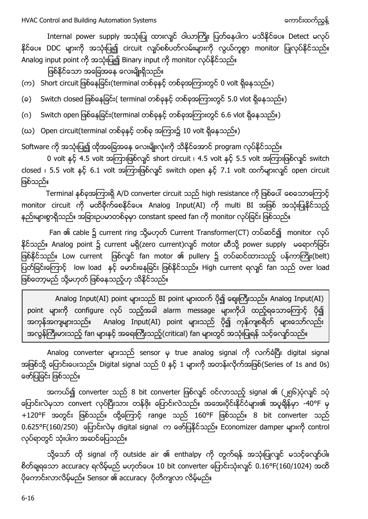Internal power supply အသုံးပြု ထားလျင် ဝါယာကြိုး ပြတ်နေပါက မသိနိုင်ပေ။ Detect မလုပ် နိုင်ပေ။ DDC များကို အသုံးပြု၍ circuit လျပ်စစ်ပတ်လမ်းများကို လွယ်ကူစွာ monitor ပြုလုပ်နိုင်သည်။ Analog input point ကို အသုံးပြု၍ Binary input ကို monitor လုပ်နိုင်သည်။

ဖြစ်နိုင်သော အခြေအနေ လေးမျိုးရှိသည်။

(က) Short circuit ဖြစ်နေခြင်း(terminal တစ်ခုနှင့် တစ်ခုအကြားတွင် 0 volt ရှိနေသည်။)

(ခ) Switch closed ဖြစ်နေခြင်း( terminal တစ်ခုနှင့် တစ်ခုအကြားတွင် 5.0 vlot ရှိနေသည်။)

(ဂ) Switch open ဖြစ်နေခြင်း(terminal တစ်ခုနှင့် တစ်ခုအကြားတွင် 6.6 vlot ရှိနေသည်။)

(ဃ) Open circuit(terminal တစ်ခုနှင့် တစ်ခု အကြား၌ 10 volt ရှိနေသည်။)

Software ကို အသုံးပြု၍ ထိုအခြေအနေ လေးမျိုးလုံးကို သိနိုင်အောင် program လုပ်နိုင်သည်။

0 volt နှင့် 4.5 volt အကြားဖြစ်လျင် short circuit ၊ 4.5 volt နှင့် 5.5 volt အကြားဖြစ်လျင် switch closed <sub>1</sub> 5.5 volt နှင့် 6.1 volt အကြားဖြစ်လျင် switch open နှင့် 7.1 volt ထက်များလျင် open circuit ဖြစ်သည်။

Terminal နစ်ခုအကြားရှိ A/D converter circuit သည် high resistance ကို ဖြစ်ပေါ် စေသောကြောင့် monitor circuit ကို မထိခိုက်စေနိုင်ပေ။ Analog Input(AI) ကို multi BI အဖြစ် အသုံးပြုနိုင်သည့် နည်းများစွာရှိသည်။ အခြားဥပမာတစ်ခုမှာ constant speed fan ကို monitor လုပ်ခြင်း ဖြစ်သည်။

Fan ၏ cable ၌ current ring သို့မဟုတ် Current Transformer(CT) တပ်ဆင်၍ monitor လုပ် နိုင်သည်။ Analog point ၌ current မရှိ(zero current)လျှင် motor ဆီသို့ power supply မရောက်ခြင်း ဖြစ်နိုင်သည်။ Low current ဖြစ်လျှင် fan motor ၏ pullery ၌ တပ်ဆင်ထားသည့် ပန်ကာကြိုး(belt) ပြတ်ခြင်းကြောင့် low load နှင့် မောင်းနေခြင်း ဖြစ်နိုင်သည်။ High current ရလျင် fan သည် over load ဖြစ်တော့မည် သို့မဟုတ် ဖြစ်နေသည့်ဟု သိနိုင်သည်။

Analog Input(AI) point များသည် BI point များထက် ပို၍ ဈေးကြီးသည်။ Analog Input(AI) point များကို configure လုပ် သည့်အခါ alarm message များကိုပါ ထည့်ရသောကြောင့် ပို၍ အကုန်အကျများသည်။ Analog Input(AI) point များသည် ပို၍ ကုန်ကျစရိတ် များသော်လည်း ာလွန်ကြီးမားသည့် fan များနှင့် အရေးကြီးသည့်(critical) fan များတွင် အသုံးပြုရန် သင့်လျော်သည်။

Analog converter များသည် sensor မှ true analog signal ကို လက်ခံပြီး digital signal အဖြစ်သို့ ပြောင်းပေးသည်။ Digital signal သည် 0 နှင့် 1 များကို အတန်းလိုက်အဖြစ်(Series of 1s and 0s) ဖော်ပြခြင်း ဖြစ်သည်။

အကယ်၍ converter သည် 8 bit converter ဖြစ်လျင် ဝင်လာသည့် signal ၏ (၂၅၆)ပုံလျင် ၁ပုံ ပြောင်းလဲမှသာ convert လုပ်ပြီးသား တန်ဖိုး ပြောင်းလဲသည်။ အအေးပိုင်းနိုင်ငံများ၏ အပူချိန်မှာ -40°F မှ  $+120$ °F အတွင်း ဖြစ်သည်။ ထို့ကြောင့် range သည်  $160$ °F ဖြစ်သည်။ 8 bit converter သည် 0.625°F(160/250) ပြောင်းလဲမှ digital signal က ဖော်ပြနိုင်သည်။ Economizer damper များကို control လုပ်ရာတွင် သုံးပါက အဆင်ပြေသည်။

သို့သော် ထို signal ကို outside air ၏ enthalpy ကို တွက်ရန် အသုံးပြုလျှင် မသင့်လျော်ပါ။ စိတ်ချရသော accuracy ရလိမ့်မည် မဟုတ်ပေ။ 10 bit converter ပြောင်းသုံးလျင်  $0.16^{\circ}$ F(160/1024) အထိ ပိုကောင်းလာလိမ့်မည်။ Sensor ၏ accuracy ပိုတိကျလာ လိမ့်မည်။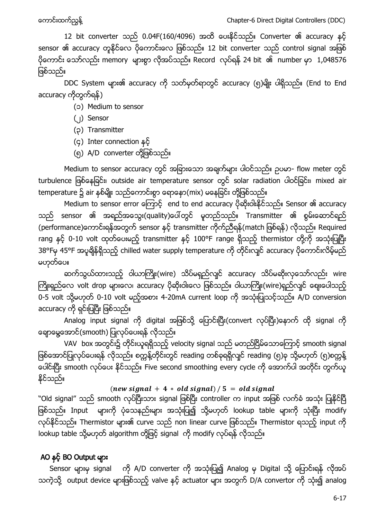12 bit converter သည် 0.04F(160/4096) အထိ ပေးနိုင်သည်။ Converter ၏ accuracy နှင့် sensor ၏ accuracy တူနိုင်လေ ပိုကောင်းလေ ဖြစ်သည်။ 12 bit converter သည် control signal အဖြစ်  $\frac{1}{2}$ ကောင်း သော်လည်း memory များစွာ လိုအပ်သည်။ Record လုပ်ရန် 24 bit ၏ number မှာ 1,048576 ဖြစ်သည်။

DDC System များ၏ accuracy ကို သတ်မှတ်ရာတွင် accuracy (၅)မျိုး ပါရှိသည်။ (End to End accuracy ကိုတွက်ရန်)

(၁) Medium to sensor

- (၂) Sensor
- (၃) Transmitter
- (၄) Inter connection
- (၅) A/D converter တို့ဖြစ်သည်။

Medium to sensor accuracy တွင် အခြားသော အချက်များ ပါဝင်သည်။ ဉပမာ- flow meter တွင် turbulence ဖြစ်နေခြင်း၊ outside air temperature sensor တွင် solar radiation ပါဝင်ခြင်း၊ mixed air temperature ၌ air နှစ်မျိုး သည်ကောင်းစွာ ရောနှော(mix) မနေခြင်း တို့ဖြစ်သည်။

Medium to sensor error ကြောင့် end to end accuracy ပိုဆိုးဝါးနိုင်သည်။ Sensor ၏ accuracy သည် sensor ၏ အရည်အသွေး(quality)ပေါ်တွင် မူတည်သည်။ Transmitter ၏ စွမ်းဆောင်ရည် sensor transmitter ) Required rang နှင့် 0-10 volt ထုတ်ပေးမည့် transmitter နှင့် 100°F range ရှိသည့် thermistor တို့ကို အသုံးပြုပြီး 38°Fမှ 45°F အပူချိန်ရှိသည့် chilled water supply temperature ကို တိုင်းလျှင် accuracy ပိုကောင်းလိမ့်မည် မဟုတ်ပေ။

ဆက်သွယ်ထားသည့် ဝါယာကြိုး(wire) သိပ်မရှည်လျင် accuracy သိပ်မဆိုးလှသော်လည်း wire ကြိုးရှည်လေ volt drop များလေ၊ accuracy ဝိုဆိုးဝါးလေ ဖြစ်သည်။ ဝါယာကြိုး(wire)ရှည်လျှင် ဈေးပေါသည့် 0-5 volt ႔ 0-10 volt 4-20mA current loop A/D conversion accuracy ကို ရှင်းပြပြီး ဖြစ်သည်။

Analog input signal ကို digital အဖြစ်သို့ ပြောင်းပြီး(convert လုပ်ပြီး)နောက် ထို signal ကို ချောမွေ့အောင်(smooth) ပြုလုပ်ပေးရန် လိုသည်။

VAV box အတွင်း၌ တိုင်းယူရရှိသည့် velocity signal သည် မတည်ငြိမ်သောကြောင့် smooth signal .<br>ဖြစ်အောင်ပြုလုပ်ပေးရန် လိုသည်။ စက္ကန့်တိုင်းတွင် reading တစ်ခုရရှိလျှင် reading (၅)ခု သို့မဟုတ် (၅)စက္ကန့် ပေါင်းပြီး smooth လုပ်ပေး နိုင်သည်။ Five second smoothing every cycle ကို အောက်ပါ အတိုင်း တွက်ယူ နိုင်သည်။

### (new signal + 4  $*$  old signal) / 5 = old signal

"Old signal" သည် smooth လုပ်ပြီးသား signal ဖြစ်ပြီး controller က input အဖြစ် လက်ခံ အသုံး ပြုနိုင်ပြီ ဖြစ်သည်။ Input များကို ပုံသေနည်းများ အသုံးပြု၍ သို့မဟုတ် lookup table များကို သုံးပြီး modify ထုပ်နိုင်သည်။ Thermistor များ၏ curve သည် non linear curve ဖြစ်သည်။ Thermistor ရသည့် input ကို lookup table ႔ algorithm ႔ signal modify

## AO နှင့် BO Output များ

Sensor များမှ signal ကို A/D converter ကို အသုံးပြု၍ Analog မှ Digital သို့ ပြောင်းရန် လိုအပ် သကဲ့သို့ output device များဖြစ်သည့် valve နှင့် actuator များ အတွက် D/A convertor ကို သုံး၍ analog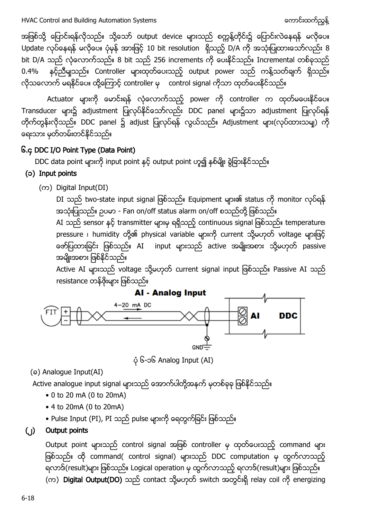အဖြစ်သို့ ပြောင်းရန်လိုသည်။ သို့သော် output device များသည် စက္ကန့်တိုင်း၌ ပြောင်းလဲနေရန် မလိုပေ။ Update လုပ်နေရန် မလိုပေ။ ပုံမှန် အားဖြင့် 10 bit resolution ရှိသည့် D/A ကို အသုံးပြုထားသော်လည်း 8 bit D/A သည် လုံလောက်သည်။ 8 bit သည် 256 increments ကို ပေးနိုင်သည်။ Incremental တစ်ခုသည် 0.4% နင့်ညီမျသည်။ Controller များထုတ်ပေးသည့် output power သည် ကန့်သတ်ချက် ရှိသည်။ လိုသလောက် မရနိုင်ပေ။ ထို့ကြောင့် controller မှ control signal ကိုသာ ထုတ်ပေးနိုင်သည်။

Actuator များကို မောင်းရန် လုံလောက်သည့် power ကို controller က ထုတ်မပေးနိုင်ပေ။ Transducer များ၌ adjustment ပြုလုပ်နိုင်သော်လည်း DDC panel များ၌သာ adjustment ပြုလုပ်ရန် တိုက်တွန်းလိုသည်။ DDC panel ၌ adjust ပြုလုပ်ရန် လွယ်သည်။ Adjustment များ(လုပ်ထားသမျှ) ကို ရေးသား မှတ်တမ်းတင်နိုင်သည်။

## <span id="page-17-0"></span>၆.၄ DDC I/O Point Type (Data Point)

DDC data point များကို input point နှင့် output point ဟူ၍ နှစ်မျိုး ခွဲခြားနိုင်သည်။

## (၁) Input points

 $($ ( $\infty$ ) Digital Input(DI)

DI သည် two-state input signal ဖြစ်သည်။ Equipment များ၏ status ကို monitor လုပ်ရန် အသုံးပြုသည်။ ဉပမာ - Fan on/off status alarm on/off စသည်တို့ ဖြစ်သည်။

AI သည် sensor နှင့် transmitter များမှ ရရှိသည့် continuous signal ဖြစ်သည်။ temperature၊ pressure ၊ humidity တို့၏ physical variable များကို current သို့မဟုတ် voltage များဖြင့် ဖော်ပြထားခြင်း ဖြစ်သည်။ AI input များသည် active အမျိုးအစား သို့မဟုတ် passive အမျိုးအစား ဖြစ်နိုင်သည်။

Active AI များသည် voltage သို့မဟုတ် current signal input ဖြစ်သည်။ Passive AI သည် resistance တန်ဖိုးများ ဖြစ်သည်။



၆-၁၆ Analog Input (AI)

(a) Analogue Input(AI)

Active analogue input signal များသည် အောက်ပါတို့အနက် မှတစ်ခုခု ဖြစ်နိုင်သည်။

- 0 to 20 mA (0 to 20mA)
- 4 to 20mA (0 to 20mA)
- Pulse Input (PI), PI သည် pulse များကို ရေတွက်ခြင်း ဖြစ်သည်။

## (၂) Output points

Output point များသည် control signal အဖြစ် controller မှ ထုတ်ပေးသည့် command များ ဖြစ်သည်။ ထို command( control signal) များသည် DDC computation မှ ထွက်လာသည့် ရလာဒ်(result)များ ဖြစ်သည်။ Logical operation မှ ထွက်လာသည့် ရလာဒ်(result)များ ဖြစ်သည်။ (က) Digital Output(DO) သည် contact သို့မဟုတ် switch အတွင်းရှိ relay coil ကို energizing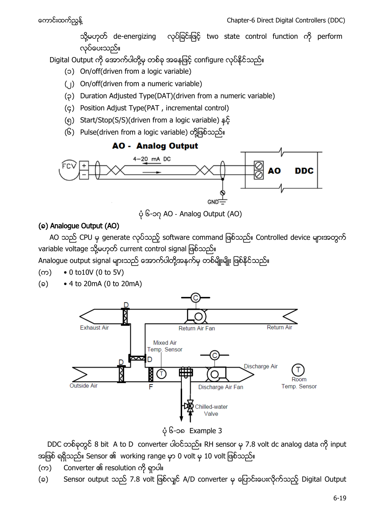သို့မဟုတ် de-energizing လုပ်ခြင်းဖြင့် two state control function ကို perform လုပ်ပေးသည်။

Digital Output ကို အောက်ပါတို့မှ တစ်ခု အနေဖြင့် configure လုပ်နိုင်သည်။

- (၁) On/off(driven from a logic variable)
- (၂) On/off(driven from a numeric variable)
- (၃) Duration Adjusted Type(DAT)(driven from a numeric variable)
- (၄) Position Adjust Type(PAT , incremental control)
- (၅) Start/Stop(S/S)(driven from a logic variable)
- (၆) Pulse(driven from a logic variable) တို့ဖြစ်သည်။



၆-၁၇ AO ‐ Analog Output (AO)

## (a) Analogue Output (AO)

AO သည် CPU မှ generate လုပ်သည့် software command ဖြစ်သည်။ Controlled device များအတွက် variable voltage သို့မဟုတ် current control signal ဖြစ်သည်။

Analogue output signal များသည် အောက်ပါတို့အနက်မှ တစ်မျိုးမျိုး ဖြစ်နိုင်သည်။

- $( \infty )$  0 to 10V (0 to 5V)
- $(a) \rightarrow 4$  to 20mA (0 to 20mA)



၆-၁၈ Example 3

DDC တစ်ခုတွင် 8 bit A to D converter ပါဝင်သည်။ RH sensor မှ 7.8 volt dc analog data ကို input အဖြစ် ရရှိသည်။ Sensor ၏ working range မှာ 0 volt မှ 10 volt ဖြစ်သည်။

- (က) Converter ၏ resolution ကို ရှာပါ။
- (ခ) Sensor output သည် 7.8 volt ဖြစ်လျင် A/D converter မှ ပြောင်းပေးလိုက်သည့် Digital Output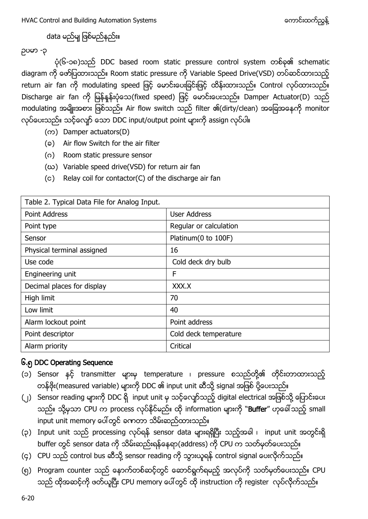HVAC Control and Building Automation Systems (၃) ပြုပြုပြုပြုပြုပြုပြုပြုပြုပြုပြုပြ

data မည်မျ ဖြစ်မည်နည်း။

#### -၃

ပုံ(၆-၁၈)သည် DDC based room static pressure control system တစ်ခု၏ schematic diagram ကို ဖော်ပြထားသည်။ Room static pressure ကို Variable Speed Drive(VSD) တပ်ဆင်ထားသည့် return air fan ကို modulating speed ဖြင့် မောင်းပေးခြင်းဖြင့် ထိန်းထားသည်။ Control လုပ်ထားသည်။ Discharge air fan ကို မြန်နှုန်းပုံသေ(fixed speed) ဖြင့် မောင်းပေးသည်။ Damper Actuator(D) သည် modulating အမျိုးအစား ဖြစ်သည်။ Air flow switch သည် filter ၏(dirty/clean) အခြေအနေကို monitor လုပ်ပေးသည်။ သင့်လျော် သော DDC input/output point များကို assign လုပ်ပါ။

- $($ ( $\infty$ ) Damper actuators(D)
- (a) Air flow Switch for the air filter
- (ဂ) Room static pressure sensor
- (ဃ) Variable speed drive(VSD) for return air fan
- (c) Relay coil for contactor(C) of the discharge air fan

| Table 2. Typical Data File for Analog Input. |                        |
|----------------------------------------------|------------------------|
| Point Address                                | User Address           |
| Point type                                   | Regular or calculation |
| Sensor                                       | Platinum(0 to 100F)    |
| Physical terminal assigned                   | 16                     |
| Use code                                     | Cold deck dry bulb     |
| Engineering unit                             | F                      |
| Decimal places for display                   | XXX.X                  |
| High limit                                   | 70                     |
| Low limit                                    | 40                     |
| Alarm lockout point                          | Point address          |
| Point descriptor                             | Cold deck temperature  |
| Alarm priority                               | Critical               |

## <span id="page-19-0"></span>၆.၅ DDC Operating Sequence

- (၁) Sensor နှင့် transmitter များမှ temperature ၊ pressure စသည်တို့၏ တိုင်းတာထားသည့် တန်ဖိုး(measured variable) များကို DDC ၏ input unit ဆီသို့ signal အဖြစ် ပို့ပေးသည်။
- (၂) Sensor reading များကို DDC ရှိ input unit မှ သင့်လျော်သည့် digital electrical အဖြစ်သို့ ပြောင်းပေး သည်။ သို့မှသာ CPU က process လုပ်နိုင်မည်။ ထို information များကို "Buffer" ဟုခေါ်သည့် small input unit memory ပေါ်တွင် ခဏတာ သိမ်းဆည်ထားသည်။
- (၃) Input unit သည် processing လုပ်ရန် sensor data များရရှိပြီး သည့်အခါ ၊ input unit အတွင်းရှိ buffer တွင် sensor data ကို သိမ်းဆည်းရန်နေရာ(address) ကို CPU က သတ်မှတ်ပေးသည်။
- (၄) CPU သည် control bus ဆီသို့ sensor reading ကို သွားယူရန် control signal ပေးလိုက်သည်။
- (၅) Program counter သည် နောက်တစ်ဆင့်တွင် ဆောင်ရွက်ရမည့် အလုပ်ကို သတ်မှတ်ပေးသည်။ CPU သည် ထိုအဆင့်ကို ဖတ်ယူပြီး CPU memory ပေါ်တွင် ထို instruction ကို register လုပ်လိုက်သည်။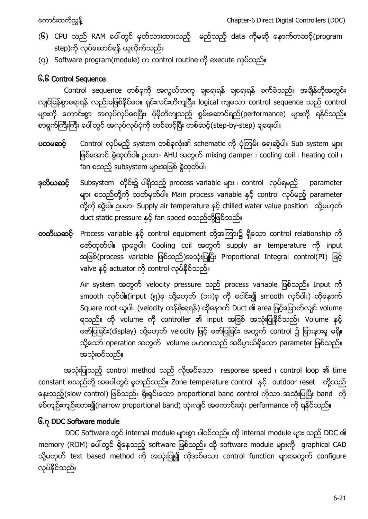- (၆) CPU သည် RAM ပေါ်တွင် မှတ်သားထားသည့် မည်သည့် data ကိုမဆို နောက်တဆင့်(program step)ကို လုပ်ဆောင်ရန် ယူလိုက်သည်။
- (၇) Software program(module) က control routine ကို execute လုပ်သည်။

# <span id="page-20-0"></span>၆.၆ Control Sequence

Control sequence တစ်ခုကို အလွယ်တကူ ချရေးရန် ချရေးရန် ခက်ခဲသည်။ အချိန်တိုအတွင်း လျင်မြန်စွာရေးရန် လည်းမဖြစ်နိုင်ပေ။ ရှင်းလင်းတိကျပြီး၊ logical ကျသော control sequence သည် control ျား<br>- များကို ကောင်းစွာ အလုပ်လုပ်စေပြီး၊ ပိုမိုတိကျသည့် စွမ်းဆောင်ရည်(performance) များကို ရနိုင်သည်။ စာရွက်ကြီးကြီး ပေါ်တွင် အလုပ်လုပ်ပုံကို တစ်ဆင့်ပြီး တစ်ဆင့်(step-by-step) ချရေးပါ။

- ပထမဆင့် Control လုပ်မည့် system တစ်ခုလုံး၏ schematic ကို ပုံကြမ်း ရေးဆွဲပါ။ Sub system များ ဖြစ်အောင် ခွဲထုတ်ပါ။ ဉပမာ- AHU အတွက် mixing damper ၊ cooling coil ၊ heating coil ၊ fan စသည့် subsystem များအဖြစ် စွဲထုတ်ပါ။
- **ဒုတိယဆင့်** Subsystem တိုင်း၌ ပါရှိသည့် process variable များ ၊ control လုပ်ရမည့် parameter များ စသည်တို့ကို သတ်မှတ်ပါ။ Main process variable နှင့် control လုပ်မည့် parameter တို့ကို ဆွဲပါ။ ဉပမာ- Supply air temperature နှင့် chilled water value position ာသို့မဟုတ် duct static pressure နှင့် fan speed စသည်တို့ဖြစ်သည်။
- တတိယဆင့် Process variable နှင့် control equipment တို့အကြား၌ ရှိသော control relationship ကို ဖော်ထုတ်ပါ။ ရှာဖွေပါ။ Cooling coil အတွက် supply air temperature ကို input အဖြစ်(process variable ဖြစ်သည်)အသုံးပြုပြီး Proportional Integral control(PI) ဖြင့် valve နှင့် actuator ကို control လုပ်နိုင်သည်။

Air system အတွက် velocity pressure သည် process variable ဖြစ်သည်။ Input ကို smooth လုပ်ပါ။(input (၅)ခု သို့မဟုတ် (၁၀)ခု ကို ပေါင်း၍ smooth လုပ်ပါ။) ထိုနောက် Square root ယူပါ။ (velocity တန်ဖိုးရရန်) ထိုနောက် Duct ၏ area ဖြင့်မြောက်လျင် volume ရသည်။ ထို volume ကို controller ၏ input အဖြစ် အသုံးပြုနိုင်သည်။ Volume နှင့် ဖော်ပြခြင်း(display) သို့မဟုတ် velocity ဖြင့် ဖော်ပြခြင်း အတွက် control ၌ ခြားနားမှု မရှိ။ သို့သော် operation အတွက် volume ပမာဏသည် အဓိပ္ပာယ်ရှိသော parameter ဖြစ်သည်။ အသုံးဝင်သည်။

အသုံးပြုသည့် control method သည် လိုအပ်သော response speed ၊ control loop ၏ time constant စသည်တို့ အပေါ်တွင် မူတည်သည်။ Zone temperature control နှင့် outdoor reset တို့သည် နေးသည့်(slow control) ဖြစ်သည်။ ရိုးရှင်းသော proportional band control ကိုသာ အသုံးပြုပြီး band ကို စပ်ကျဉ်းကျဉ်းထား၍(narrow proportional band) သုံးလျင် အကောင်းဆုံး performance ကို ရနိုင်သည်။

# <span id="page-20-1"></span>၆.၇ DDC Software module

DDC Software တွင် internal module များစွာ ပါဝင်သည်။ ထို internal module များ သည် DDC ၏ memory (ROM) ပေါ်တွင် ရှိနေသည့် software ဖြစ်သည်။ ထို software module များကို graphical CAD သို့မဟုတ် text based method ကို အသုံးပြု၍ လိုအပ်သော control function များအတွက် configure လုပ်နိုင်သည်။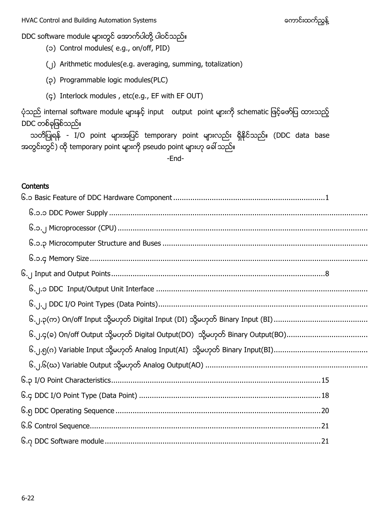- DDC software module များတွင် အောက်ပါတို့ ပါဝင်သည်။
	- (၁) Control modules( e.g., on/off, PID)
	- (၂) Arithmetic modules(e.g. averaging, summing, totalization)
	- (၃) Programmable logic modules(PLC)
	- (၄) Interlock modules , etc(e.g., EF with EF OUT)

ပုံသည် internal software module များနှင့် input output point များကို schematic ဖြင့်ဖော်ပြ ထားသည့် DDC တစ်ခုဖြစ်သည်။

သတိပြုရန် - I/O point များအပြင် temporary point များလည်း ရှိနိုင်သည်။ (DDC data base အတွင်းတွင်) ထို temporary point များကို pseudo point များဟု ခေါ် သည်။

-End-

#### **Contents**

| ၆.၂.၄(၁) On/off Output သို့မဟုတ် Digital Output(DO) သို့မဟုတ် Binary Output(BO) |
|---------------------------------------------------------------------------------|
|                                                                                 |
|                                                                                 |
|                                                                                 |
|                                                                                 |
|                                                                                 |
|                                                                                 |
|                                                                                 |